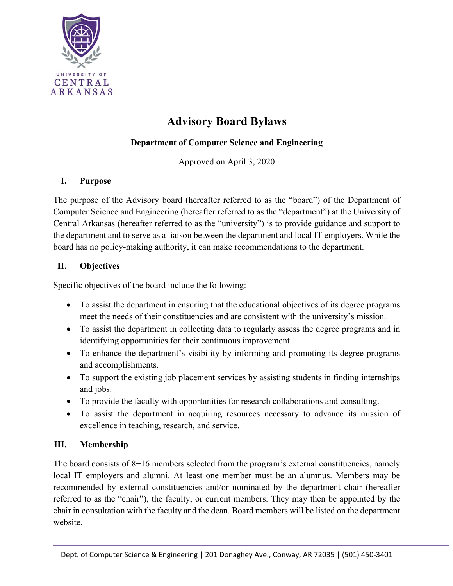

# **Advisory Board Bylaws**

## **Department of Computer Science and Engineering**

Approved on April 3, 2020

#### **I. Purpose**

The purpose of the Advisory board (hereafter referred to as the "board") of the Department of Computer Science and Engineering (hereafter referred to as the "department") at the University of Central Arkansas (hereafter referred to as the "university") is to provide guidance and support to the department and to serve as a liaison between the department and local IT employers. While the board has no policy-making authority, it can make recommendations to the department.

#### **II. Objectives**

Specific objectives of the board include the following:

- To assist the department in ensuring that the educational objectives of its degree programs meet the needs of their constituencies and are consistent with the university's mission.
- To assist the department in collecting data to regularly assess the degree programs and in identifying opportunities for their continuous improvement.
- To enhance the department's visibility by informing and promoting its degree programs and accomplishments.
- To support the existing job placement services by assisting students in finding internships and jobs.
- To provide the faculty with opportunities for research collaborations and consulting.
- To assist the department in acquiring resources necessary to advance its mission of excellence in teaching, research, and service.

### **III. Membership**

The board consists of 8−16 members selected from the program's external constituencies, namely local IT employers and alumni. At least one member must be an alumnus. Members may be recommended by external constituencies and/or nominated by the department chair (hereafter referred to as the "chair"), the faculty, or current members. They may then be appointed by the chair in consultation with the faculty and the dean. Board members will be listed on the department website.